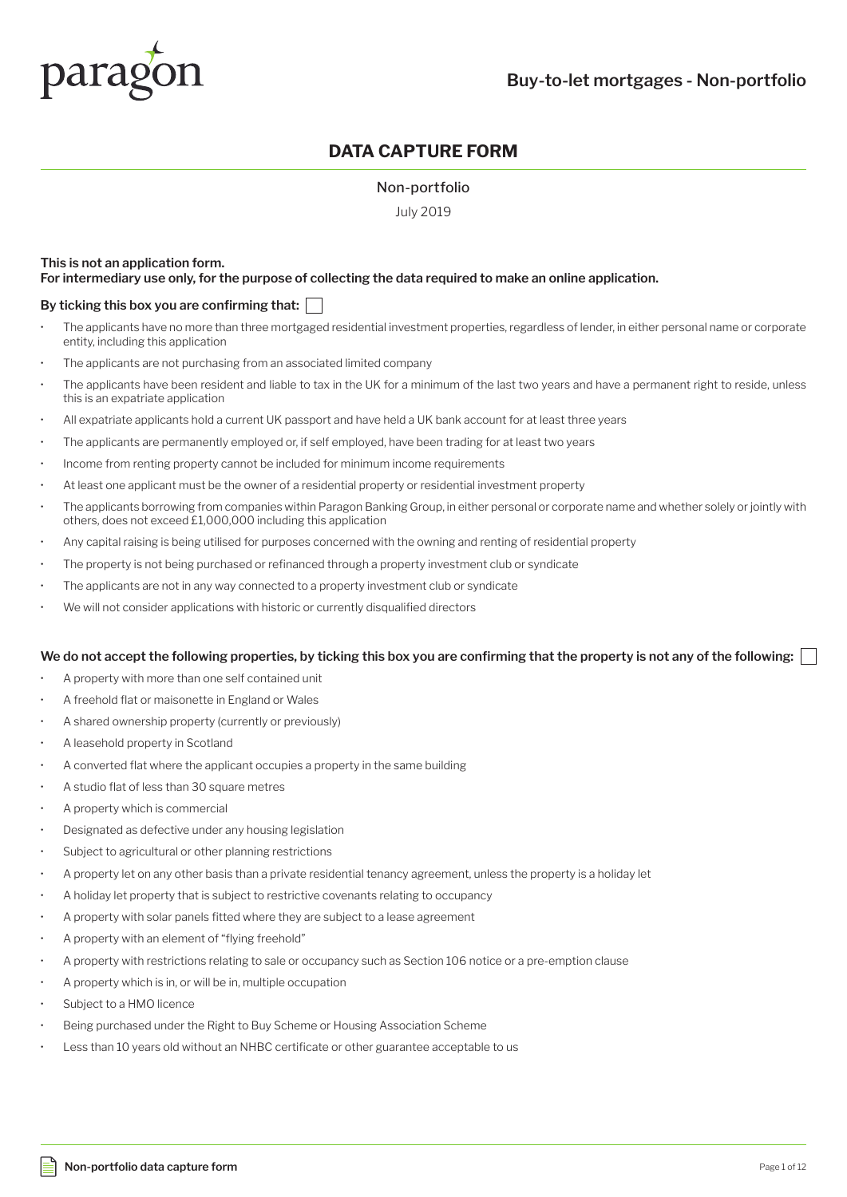

# **DATA CAPTURE FORM**

#### Non-portfolio

July 2019

#### **This is not an application form. For intermediary use only, for the purpose of collecting the data required to make an online application.**

#### **By ticking this box you are confirming that:**

- The applicants have no more than three mortgaged residential investment properties, regardless of lender, in either personal name or corporate entity, including this application
- The applicants are not purchasing from an associated limited company
- The applicants have been resident and liable to tax in the UK for a minimum of the last two years and have a permanent right to reside, unless this is an expatriate application
- All expatriate applicants hold a current UK passport and have held a UK bank account for at least three years
- The applicants are permanently employed or, if self employed, have been trading for at least two years
- Income from renting property cannot be included for minimum income requirements
- At least one applicant must be the owner of a residential property or residential investment property
- The applicants borrowing from companies within Paragon Banking Group, in either personal or corporate name and whether solely or jointly with others, does not exceed £1,000,000 including this application
- Any capital raising is being utilised for purposes concerned with the owning and renting of residential property
- The property is not being purchased or refinanced through a property investment club or syndicate
- The applicants are not in any way connected to a property investment club or syndicate
- We will not consider applications with historic or currently disqualified directors

#### **We do not accept the following properties, by ticking this box you are confirming that the property is not any of the following:**

- A property with more than one self contained unit
- A freehold flat or maisonette in England or Wales
- A shared ownership property (currently or previously)
- A leasehold property in Scotland
- A converted flat where the applicant occupies a property in the same building
- A studio flat of less than 30 square metres
- A property which is commercial
- Designated as defective under any housing legislation
- Subject to agricultural or other planning restrictions
- A property let on any other basis than a private residential tenancy agreement, unless the property is a holiday let
- A holiday let property that is subject to restrictive covenants relating to occupancy
- A property with solar panels fitted where they are subject to a lease agreement
- A property with an element of "flying freehold"
- A property with restrictions relating to sale or occupancy such as Section 106 notice or a pre-emption clause
- A property which is in, or will be in, multiple occupation
- Subject to a HMO licence
- Being purchased under the Right to Buy Scheme or Housing Association Scheme
- Less than 10 years old without an NHBC certificate or other guarantee acceptable to us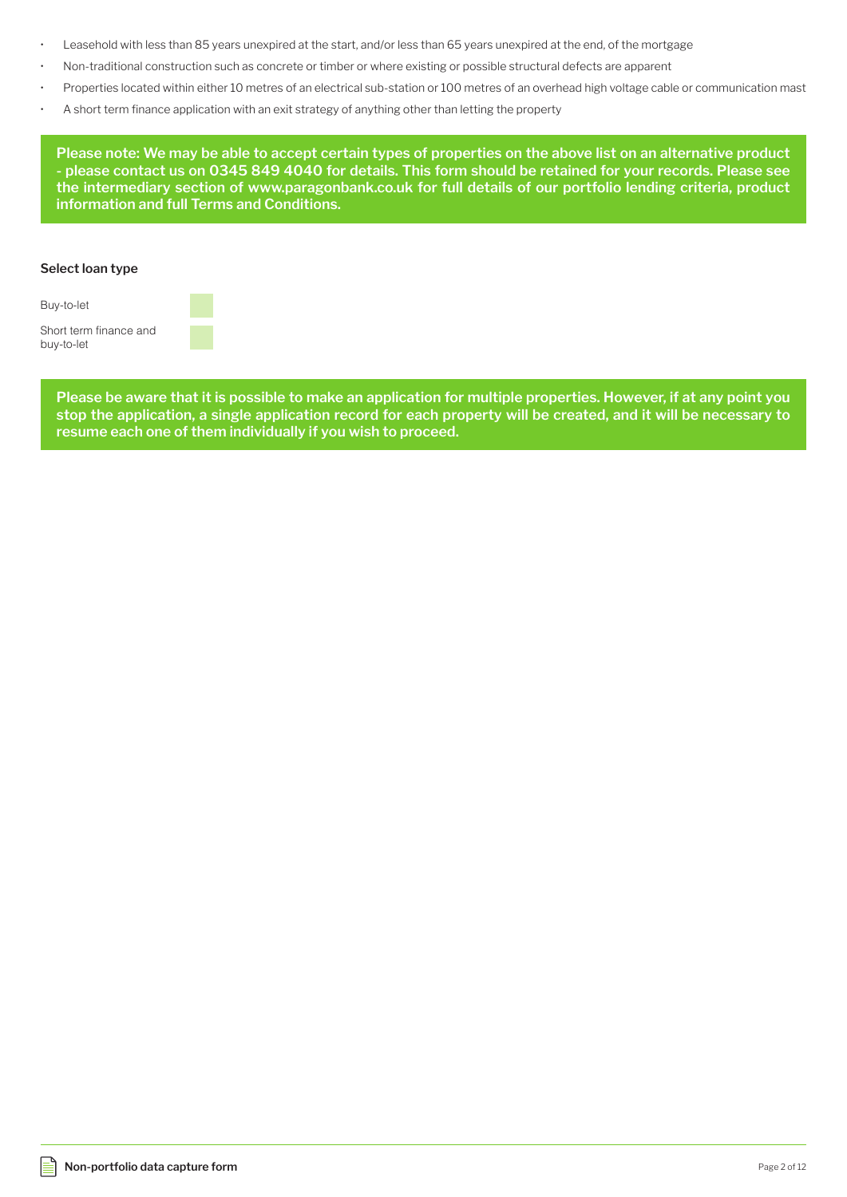- Leasehold with less than 85 years unexpired at the start, and/or less than 65 years unexpired at the end, of the mortgage
- Non-traditional construction such as concrete or timber or where existing or possible structural defects are apparent
- Properties located within either 10 metres of an electrical sub-station or 100 metres of an overhead high voltage cable or communication mast
- A short term finance application with an exit strategy of anything other than letting the property

**Please note: We may be able to accept certain types of properties on the above list on an alternative product - please contact us on 0345 849 4040 for details. This form should be retained for your records. Please see the intermediary section of www.paragonbank.co.uk for full details of our portfolio lending criteria, product information and full Terms and Conditions.**

#### **Select loan type**

Buy-to-let

Short term finance and buy-to-let

> **Please be aware that it is possible to make an application for multiple properties. However, if at any point you stop the application, a single application record for each property will be created, and it will be necessary to resume each one of them individually if you wish to proceed.**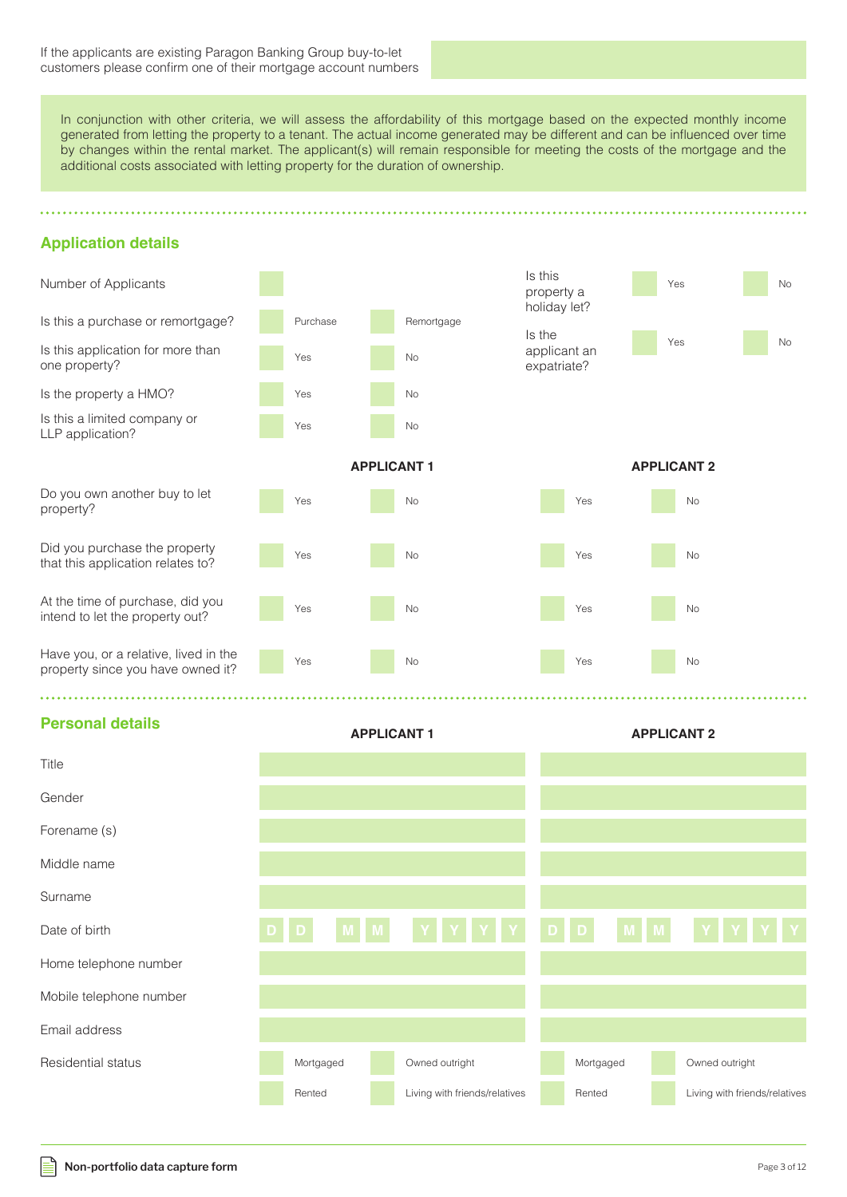In conjunction with other criteria, we will assess the affordability of this mortgage based on the expected monthly income generated from letting the property to a tenant. The actual income generated may be different and can be influenced over time by changes within the rental market. The applicant(s) will remain responsible for meeting the costs of the mortgage and the additional costs associated with letting property for the duration of ownership.

# **Application details**





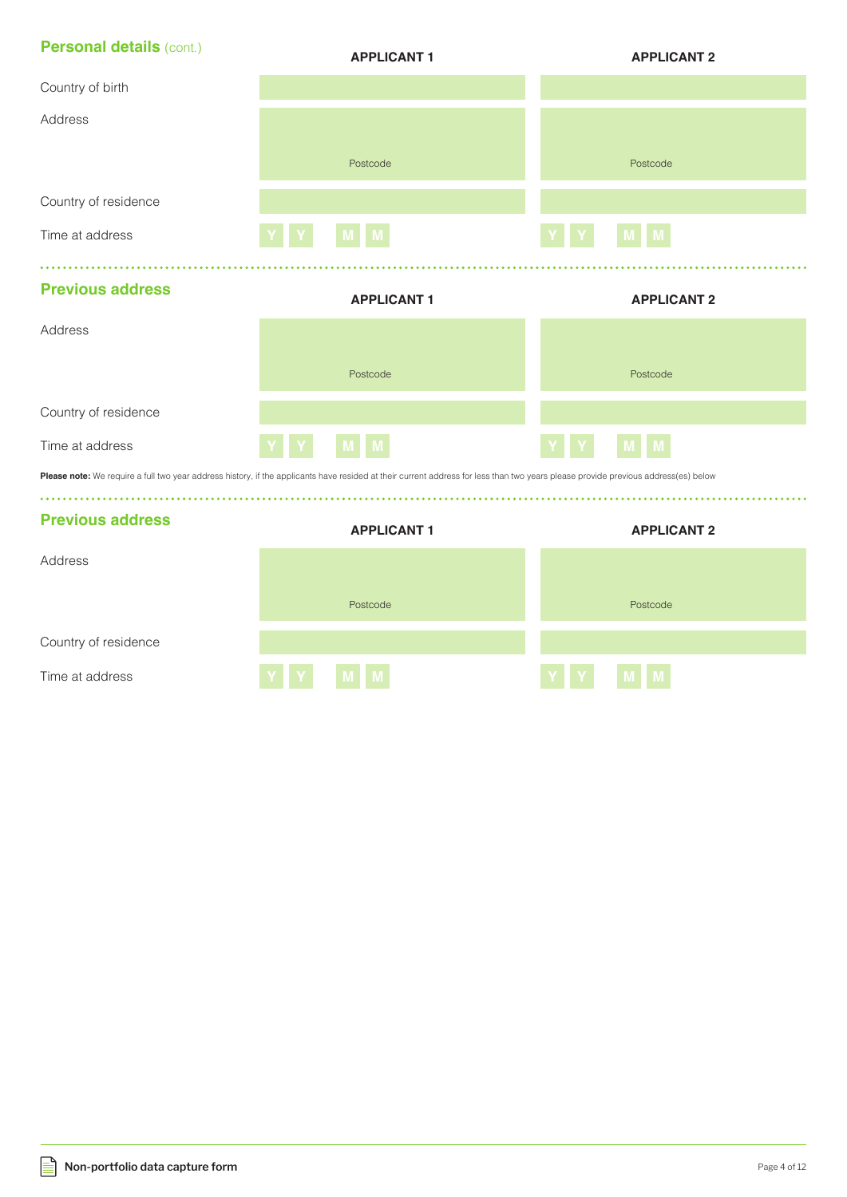| <b>Personal details (cont.)</b> | <b>APPLICANT1</b>                                                                                                                                                                  | <b>APPLICANT 2</b> |
|---------------------------------|------------------------------------------------------------------------------------------------------------------------------------------------------------------------------------|--------------------|
| Country of birth                |                                                                                                                                                                                    |                    |
| Address                         |                                                                                                                                                                                    |                    |
|                                 | Postcode                                                                                                                                                                           | Postcode           |
| Country of residence            |                                                                                                                                                                                    |                    |
| Time at address                 | $\mathbf M$                                                                                                                                                                        | M                  |
|                                 |                                                                                                                                                                                    |                    |
| <b>Previous address</b>         | <b>APPLICANT1</b>                                                                                                                                                                  | <b>APPLICANT 2</b> |
| Address                         |                                                                                                                                                                                    |                    |
|                                 | Postcode                                                                                                                                                                           | Postcode           |
| Country of residence            |                                                                                                                                                                                    |                    |
| Time at address                 | M                                                                                                                                                                                  | M                  |
|                                 | Please note: We require a full two year address history, if the applicants have resided at their current address for less than two years please provide previous address(es) below |                    |
| <b>Previous address</b>         | <b>APPLICANT1</b>                                                                                                                                                                  | <b>APPLICANT 2</b> |
| Address                         |                                                                                                                                                                                    |                    |
|                                 | Postcode                                                                                                                                                                           | Postcode           |
| Country of residence            |                                                                                                                                                                                    |                    |
| Time at address                 | M                                                                                                                                                                                  | M                  |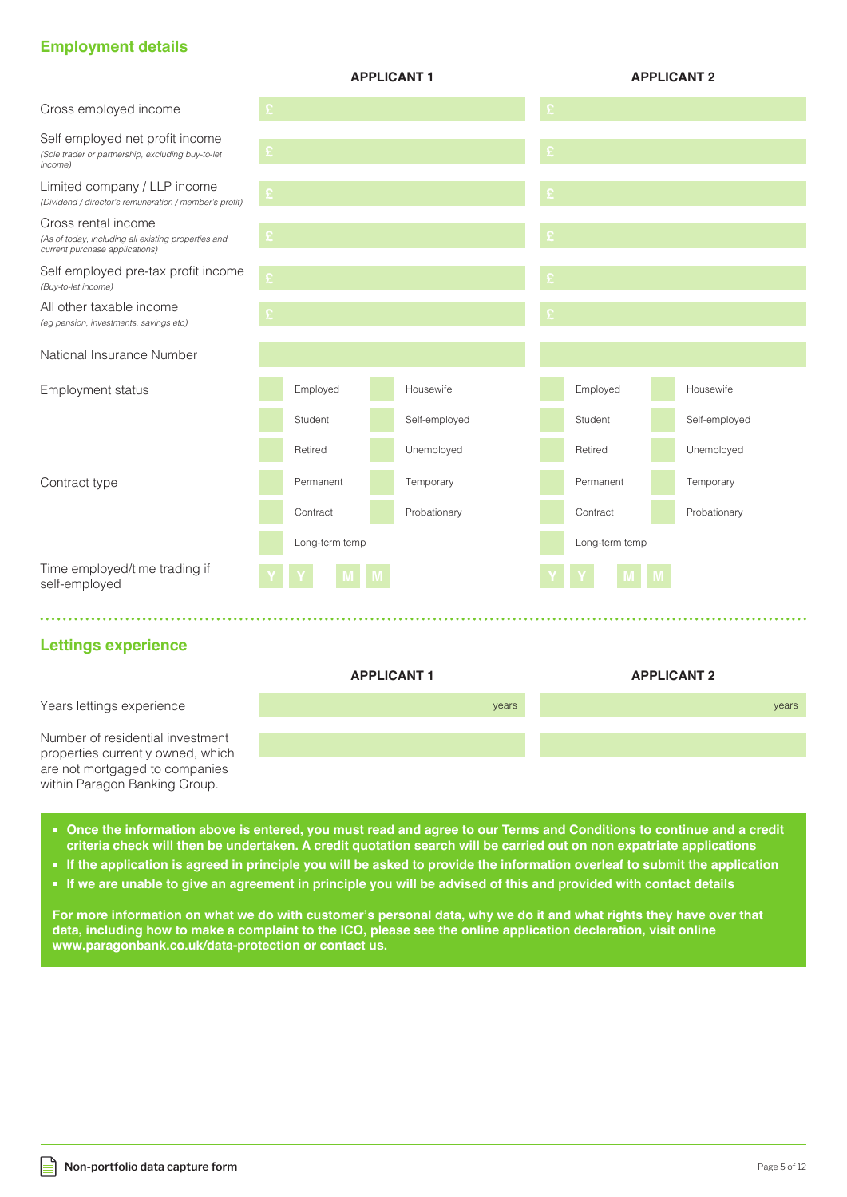# **Employment details**

|                                                                                                                                                                                                                                               |   |                | <b>APPLICANT1</b> |           |                | <b>APPLICANT 2</b> |
|-----------------------------------------------------------------------------------------------------------------------------------------------------------------------------------------------------------------------------------------------|---|----------------|-------------------|-----------|----------------|--------------------|
| Gross employed income                                                                                                                                                                                                                         | £ |                |                   |           |                |                    |
| Self employed net profit income<br>(Sole trader or partnership, excluding buy-to-let<br>income)                                                                                                                                               |   |                |                   |           |                |                    |
| Limited company / LLP income<br>(Dividend / director's remuneration / member's profit)                                                                                                                                                        |   |                |                   |           |                |                    |
| Gross rental income<br>(As of today, including all existing properties and<br>current purchase applications)                                                                                                                                  |   |                |                   |           |                |                    |
| Self employed pre-tax profit income<br>(Buy-to-let income)                                                                                                                                                                                    | £ |                |                   |           |                |                    |
| All other taxable income<br>(eg pension, investments, savings etc)                                                                                                                                                                            |   |                |                   |           |                |                    |
| National Insurance Number                                                                                                                                                                                                                     |   |                |                   |           |                |                    |
| Employment status                                                                                                                                                                                                                             |   | Employed       | Housewife         | Employed  |                | Housewife          |
|                                                                                                                                                                                                                                               |   | Student        | Self-employed     | Student   |                | Self-employed      |
|                                                                                                                                                                                                                                               |   | Retired        | Unemployed        | Retired   |                | Unemployed         |
| Contract type                                                                                                                                                                                                                                 |   | Permanent      | Temporary         | Permanent |                | Temporary          |
|                                                                                                                                                                                                                                               |   | Contract       | Probationary      | Contract  |                | Probationary       |
|                                                                                                                                                                                                                                               |   | Long-term temp |                   |           | Long-term temp |                    |
| Time employed/time trading if<br>self-employed                                                                                                                                                                                                |   |                |                   |           |                |                    |
|                                                                                                                                                                                                                                               |   |                |                   |           |                |                    |
| <b>Lettings experience</b>                                                                                                                                                                                                                    |   |                |                   |           |                |                    |
|                                                                                                                                                                                                                                               |   |                | <b>APPLICANT1</b> |           |                | <b>APPLICANT 2</b> |
| Years lettings experience                                                                                                                                                                                                                     |   |                | years             |           |                | years              |
| Number of residential investment<br>properties currently owned, which<br>are not mortgaged to companies<br>within Paragon Banking Group.                                                                                                      |   |                |                   |           |                |                    |
| • Once the information above is entered, you must read and agree to our Terms and Conditions to continue and a credit<br>criteria check will then be undertaken. A credit quotation search will be carried out on non expatriate applications |   |                |                   |           |                |                    |

- **If the application is agreed in principle you will be asked to provide the information overleaf to submit the application**
- **If we are unable to give an agreement in principle you will be advised of this and provided with contact details**

**For more information on what we do with customer's personal data, why we do it and what rights they have over that data, including how to make a complaint to the ICO, please see the online application declaration, visit online www.paragonbank.co.uk/data-protection or contact us.**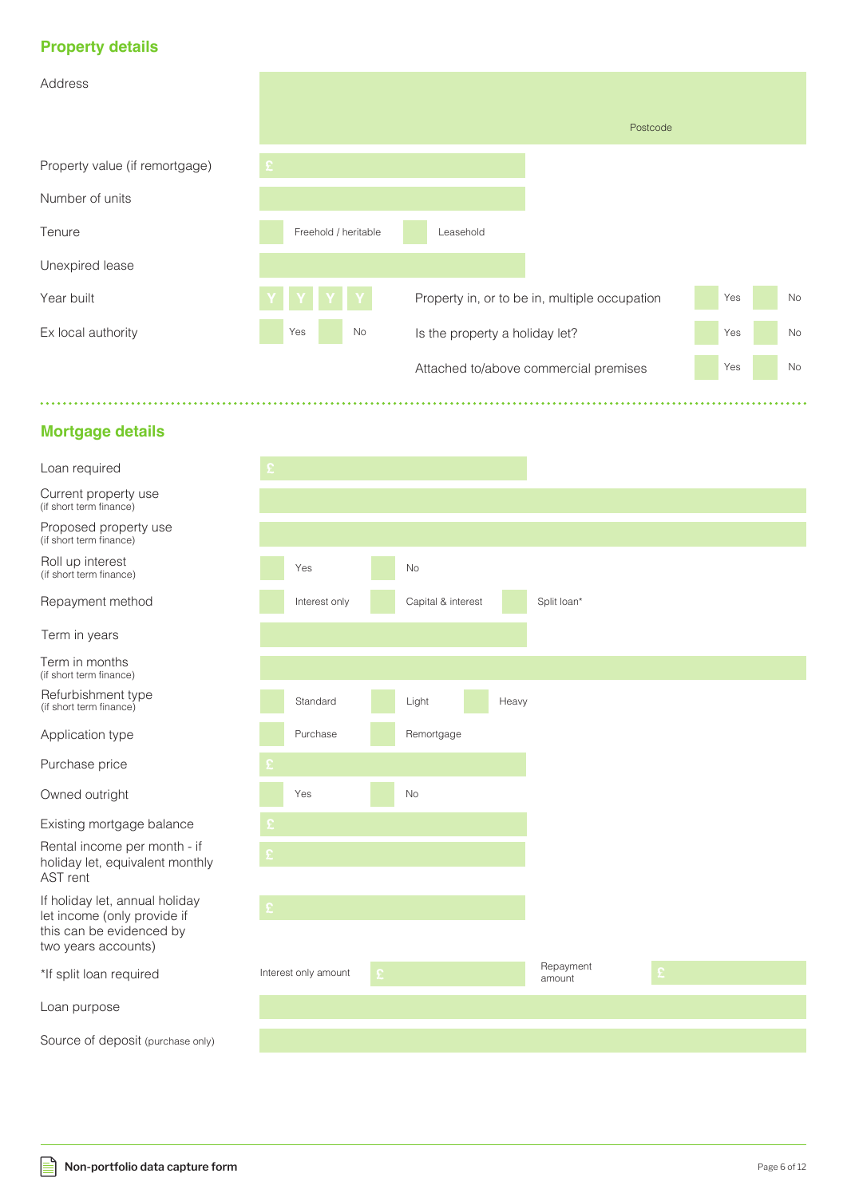# **Property details**

| Address                        |                      |                                               |     |           |
|--------------------------------|----------------------|-----------------------------------------------|-----|-----------|
|                                |                      | Postcode                                      |     |           |
| Property value (if remortgage) | £.                   |                                               |     |           |
| Number of units                |                      |                                               |     |           |
| Tenure                         | Freehold / heritable | Leasehold                                     |     |           |
| Unexpired lease                |                      |                                               |     |           |
| Year built                     |                      | Property in, or to be in, multiple occupation | Yes | <b>No</b> |
| Ex local authority             | No<br>Yes            | Is the property a holiday let?                | Yes | No        |
|                                |                      | Attached to/above commercial premises         | Yes | No        |

a sa sa sal

# **Mortgage details**

| £. |                      |              |                    |       |                     |    |  |
|----|----------------------|--------------|--------------------|-------|---------------------|----|--|
|    |                      |              |                    |       |                     |    |  |
|    |                      |              |                    |       |                     |    |  |
|    | Yes                  |              | $\rm No$           |       |                     |    |  |
|    | Interest only        |              | Capital & interest |       | Split loan*         |    |  |
|    |                      |              |                    |       |                     |    |  |
|    |                      |              |                    |       |                     |    |  |
|    | Standard             |              | Light              | Heavy |                     |    |  |
|    | Purchase             |              | Remortgage         |       |                     |    |  |
| £. |                      |              |                    |       |                     |    |  |
|    | Yes                  |              | No                 |       |                     |    |  |
|    |                      |              |                    |       |                     |    |  |
| £  |                      |              |                    |       |                     |    |  |
| £  |                      |              |                    |       |                     |    |  |
|    |                      |              |                    |       |                     |    |  |
|    | Interest only amount | $\mathbf{E}$ |                    |       | Repayment<br>amount | £. |  |
|    |                      |              |                    |       |                     |    |  |
|    |                      |              |                    |       |                     |    |  |

# Loan required

Current property use (if short term finance)

Proposed property use (if short term finance)

Roll up interest (if short term finance)

Repayment method

Term in years

Term in months (if short term finance)

Refurbishment type (if short term finance)

Application type

Purchase price

Owned outright

Existing mortgage balance

**£** Rental income per month - if holiday let, equivalent monthly AST rent

**£** If holiday let, annual holiday let income (only provide if this can be evidenced by two years accounts)

\*If split loan required

Loan purpose

⊫

Source of deposit (purchase only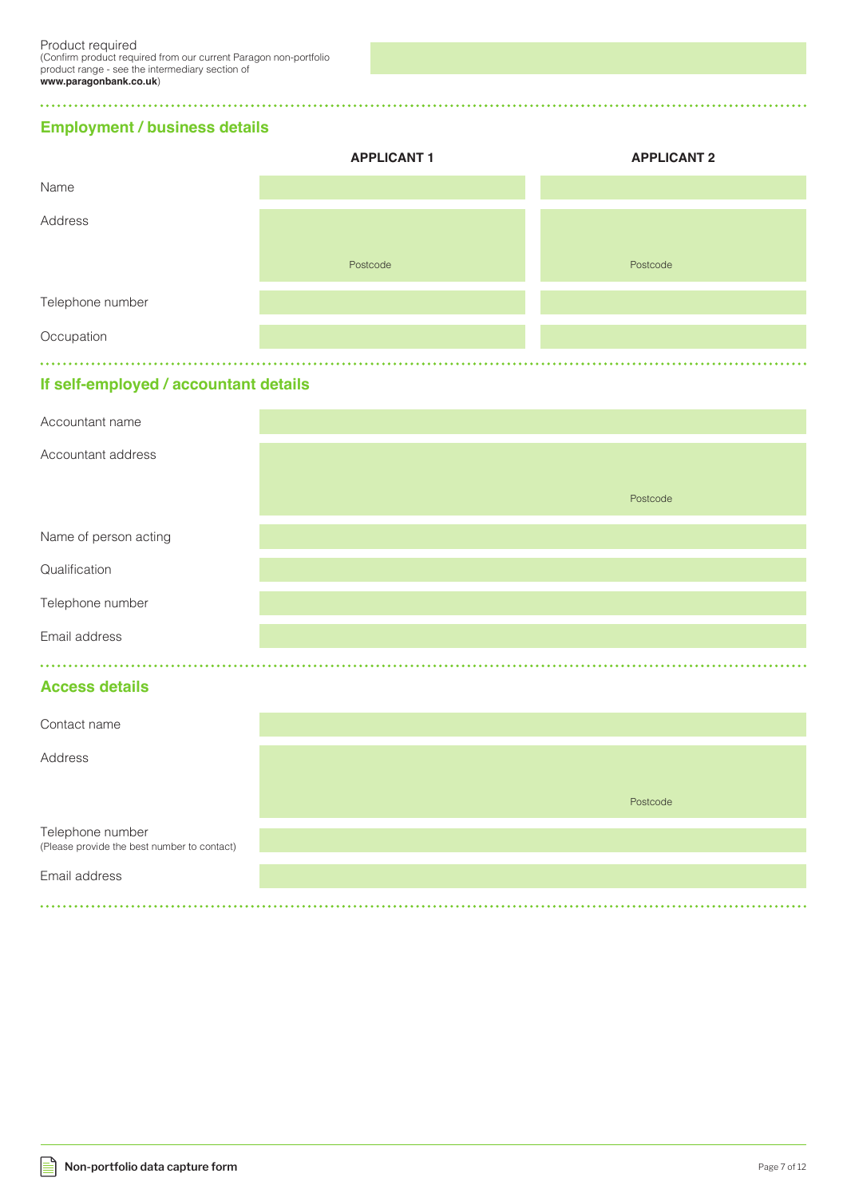**Employment / business details**

 $\ddot{\phantom{a}}$ 

|                  | <b>APPLICANT 1</b> | <b>APPLICANT 2</b> |
|------------------|--------------------|--------------------|
| Name             |                    |                    |
| Address          |                    |                    |
|                  | Postcode           | Postcode           |
| Telephone number |                    |                    |
| Occupation       |                    |                    |
|                  |                    |                    |

# **If self-employed / accountant details**

| Accountant name                                                 |          |
|-----------------------------------------------------------------|----------|
| Accountant address                                              |          |
|                                                                 | Postcode |
| Name of person acting                                           |          |
| Qualification                                                   |          |
| Telephone number                                                |          |
| Email address                                                   |          |
| <b>Access details</b>                                           |          |
| Contact name                                                    |          |
| Address                                                         |          |
|                                                                 | Postcode |
| Telephone number<br>(Please provide the best number to contact) |          |
| Email address                                                   |          |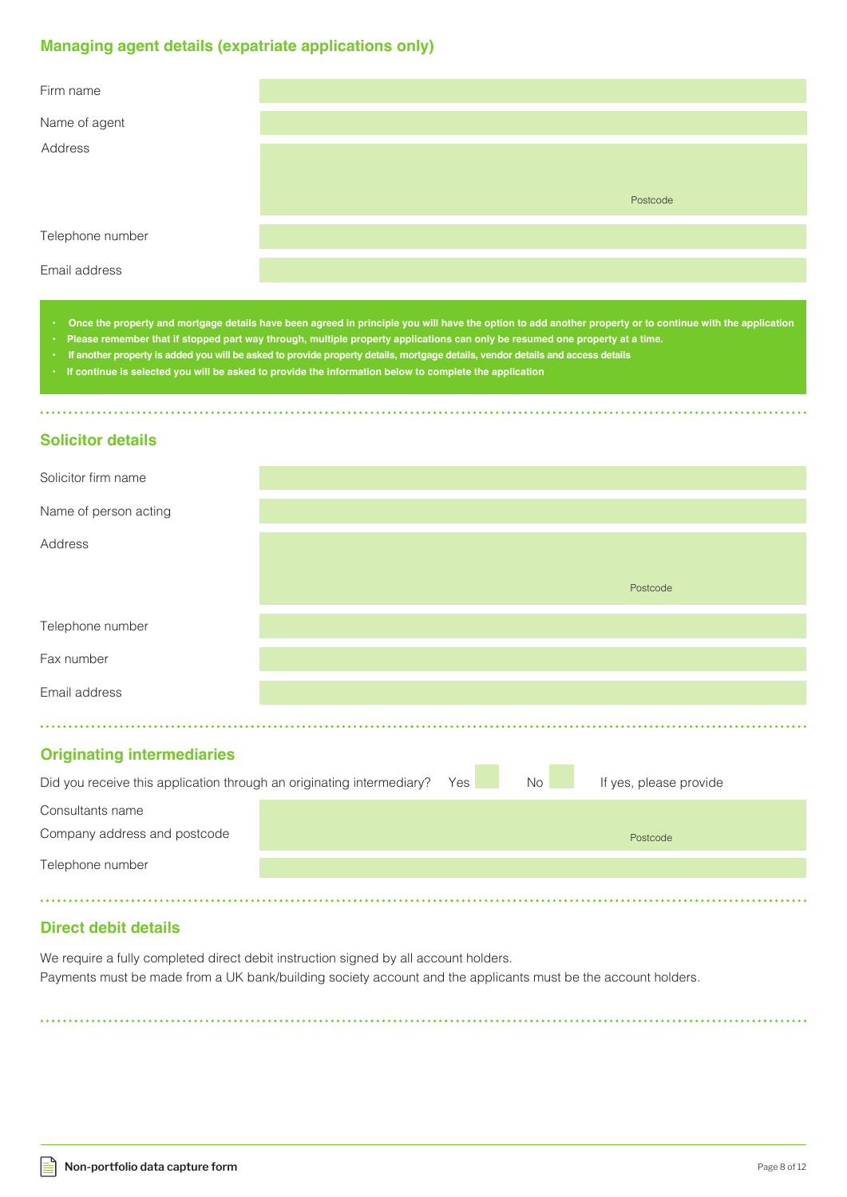## **Managing agent details (expatriate applications only)**

| Firm name        |          |  |
|------------------|----------|--|
| Name of agent    |          |  |
| Address          |          |  |
|                  | Postcode |  |
| Telephone number |          |  |
| Email address    |          |  |

**• Once the property and mortgage details have been agreed in principle you will have the option to add another property or to continue with the application**

- **Please remember that if stopped part way through, multiple property applications can only be resumed one property at a time.**
- **If another property is added you will be asked to provide property details, mortgage details, vendor details and access details**
- **If continue is selected you will be asked to provide the information below to complete the application**

#### **Solicitor details**

| Solicitor firm name                                                   |     |    |                        |
|-----------------------------------------------------------------------|-----|----|------------------------|
| Name of person acting                                                 |     |    |                        |
| Address                                                               |     |    |                        |
|                                                                       |     |    | Postcode               |
| Telephone number                                                      |     |    |                        |
| Fax number                                                            |     |    |                        |
| Email address                                                         |     |    |                        |
|                                                                       |     |    |                        |
| <b>Originating intermediaries</b>                                     |     |    |                        |
| Did you receive this application through an originating intermediary? | Yes | No | If yes, please provide |
| Consultants name                                                      |     |    |                        |
| Company address and postcode                                          |     |    | Postcode               |
| Telephone number                                                      |     |    |                        |
|                                                                       |     |    |                        |

## **Direct debit details**

We require a fully completed direct debit instruction signed by all account holders. Payments must be made from a UK bank/building society account and the applicants must be the account holders.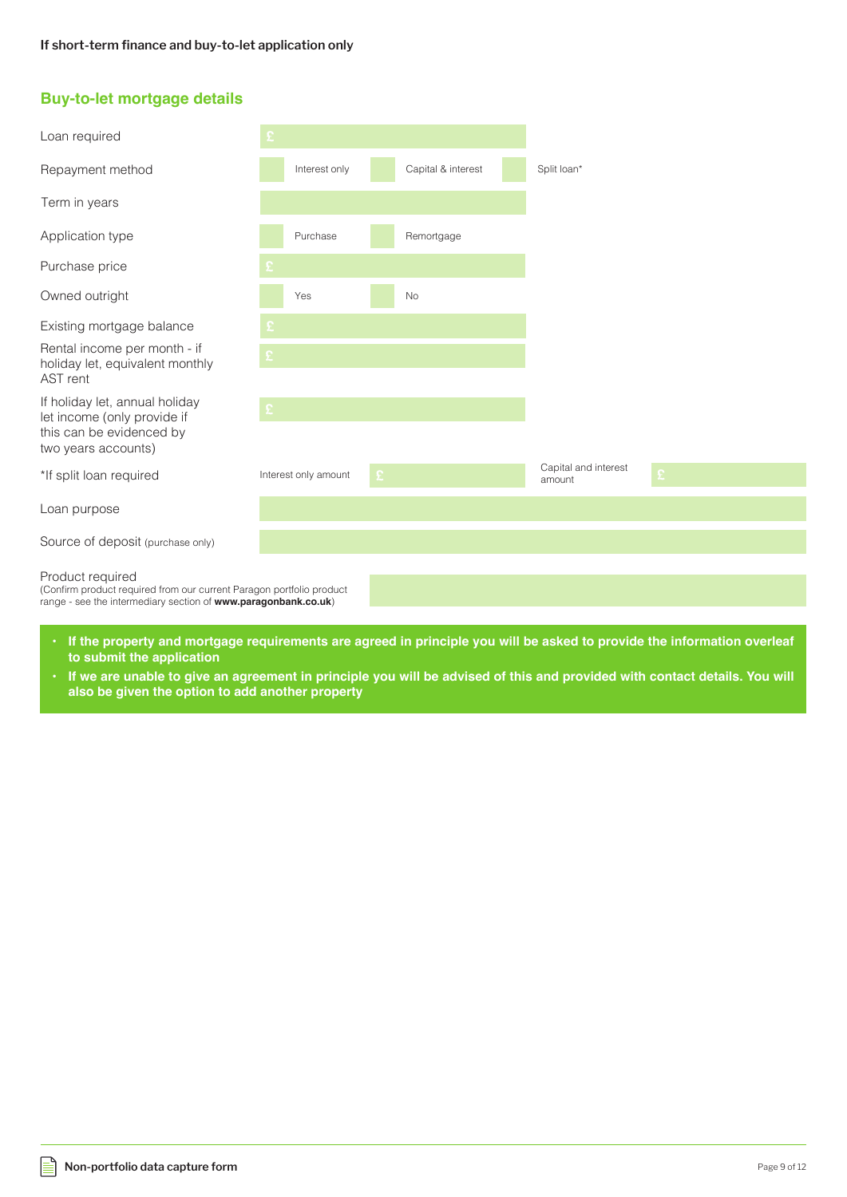## **Buy-to-let mortgage details**

| Loan required                                                                                                                                              |   |                      |    |                    |                                |  |
|------------------------------------------------------------------------------------------------------------------------------------------------------------|---|----------------------|----|--------------------|--------------------------------|--|
| Repayment method                                                                                                                                           |   | Interest only        |    | Capital & interest | Split loan*                    |  |
| Term in years                                                                                                                                              |   |                      |    |                    |                                |  |
| Application type                                                                                                                                           |   | Purchase             |    | Remortgage         |                                |  |
| Purchase price                                                                                                                                             |   |                      |    |                    |                                |  |
| Owned outright                                                                                                                                             |   | Yes                  |    | <b>No</b>          |                                |  |
| Existing mortgage balance                                                                                                                                  |   |                      |    |                    |                                |  |
| Rental income per month - if<br>holiday let, equivalent monthly<br>AST rent                                                                                |   |                      |    |                    |                                |  |
| If holiday let, annual holiday<br>let income (only provide if                                                                                              | £ |                      |    |                    |                                |  |
| this can be evidenced by<br>two years accounts)                                                                                                            |   |                      |    |                    |                                |  |
| *If split loan required                                                                                                                                    |   | Interest only amount | £. |                    | Capital and interest<br>amount |  |
| Loan purpose                                                                                                                                               |   |                      |    |                    |                                |  |
| Source of deposit (purchase only)                                                                                                                          |   |                      |    |                    |                                |  |
| Product required<br>(Confirm product required from our current Paragon portfolio product<br>range - see the intermediary section of www.paragonbank.co.uk) |   |                      |    |                    |                                |  |
|                                                                                                                                                            |   |                      |    |                    |                                |  |

- **If the property and mortgage requirements are agreed in principle you will be asked to provide the information overleaf to submit the application**
- **If we are unable to give an agreement in principle you will be advised of this and provided with contact details. You will also be given the option to add another property**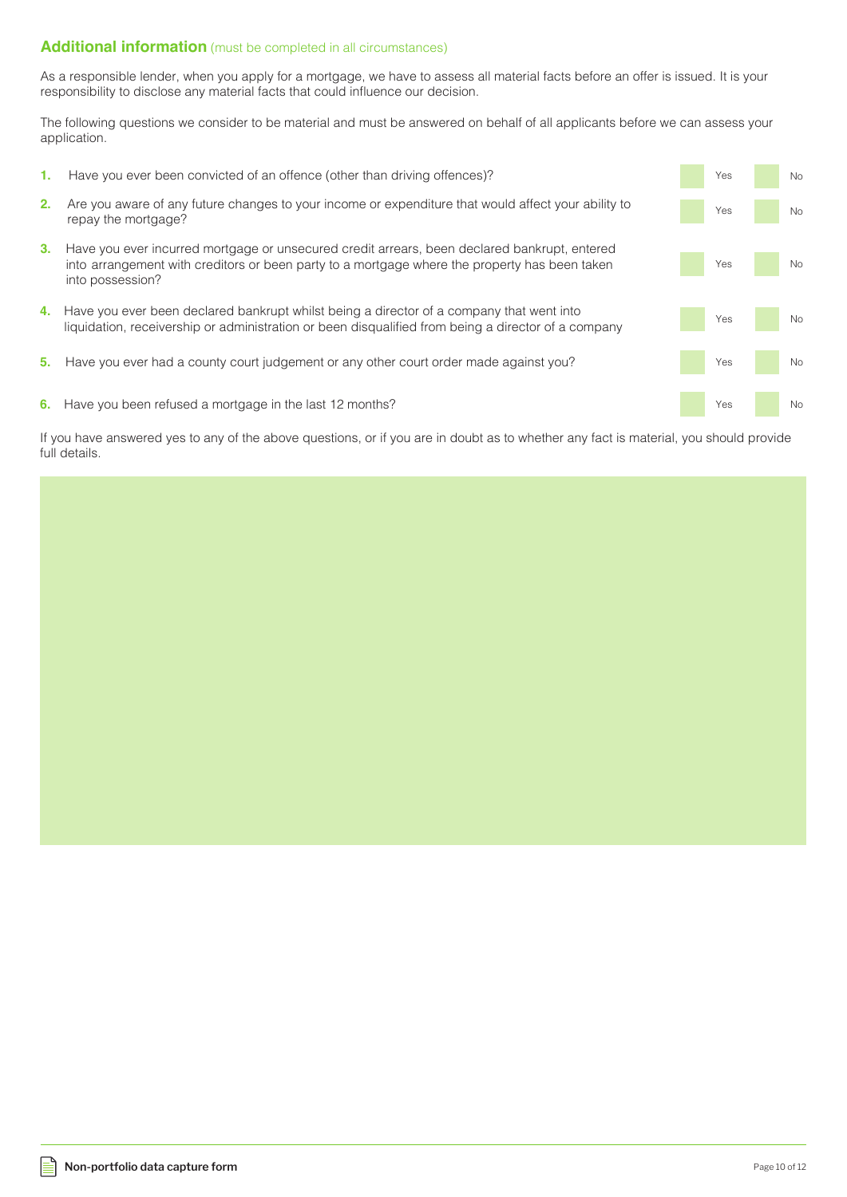#### **Additional information** (must be completed in all circumstances)

As a responsible lender, when you apply for a mortgage, we have to assess all material facts before an offer is issued. It is your responsibility to disclose any material facts that could influence our decision.

The following questions we consider to be material and must be answered on behalf of all applicants before we can assess your application.

**2.** Are you aware of any future changes to your income or expenditure that would affect your ability to repay the mortgage? **3.** Have you ever incurred mortgage or unsecured credit arrears, been declared bankrupt, entered into arrangement with creditors or been party to a mortgage where the property has been taken into possession? **4.** Have you ever been declared bankrupt whilst being a director of a company that went into liquidation, receivership or administration or been disqualified from being a director of a company **5.** Have you ever had a county court judgement or any other court order made against you? **6.** Have you been refused a mortgage in the last 12 months? Yes No Yes No Yes No Yes No Yes No **1.** Have you ever been convicted of an offence (other than driving offences)? The Most Convention of the Vescourse of the No

If you have answered yes to any of the above questions, or if you are in doubt as to whether any fact is material, you should provide full details.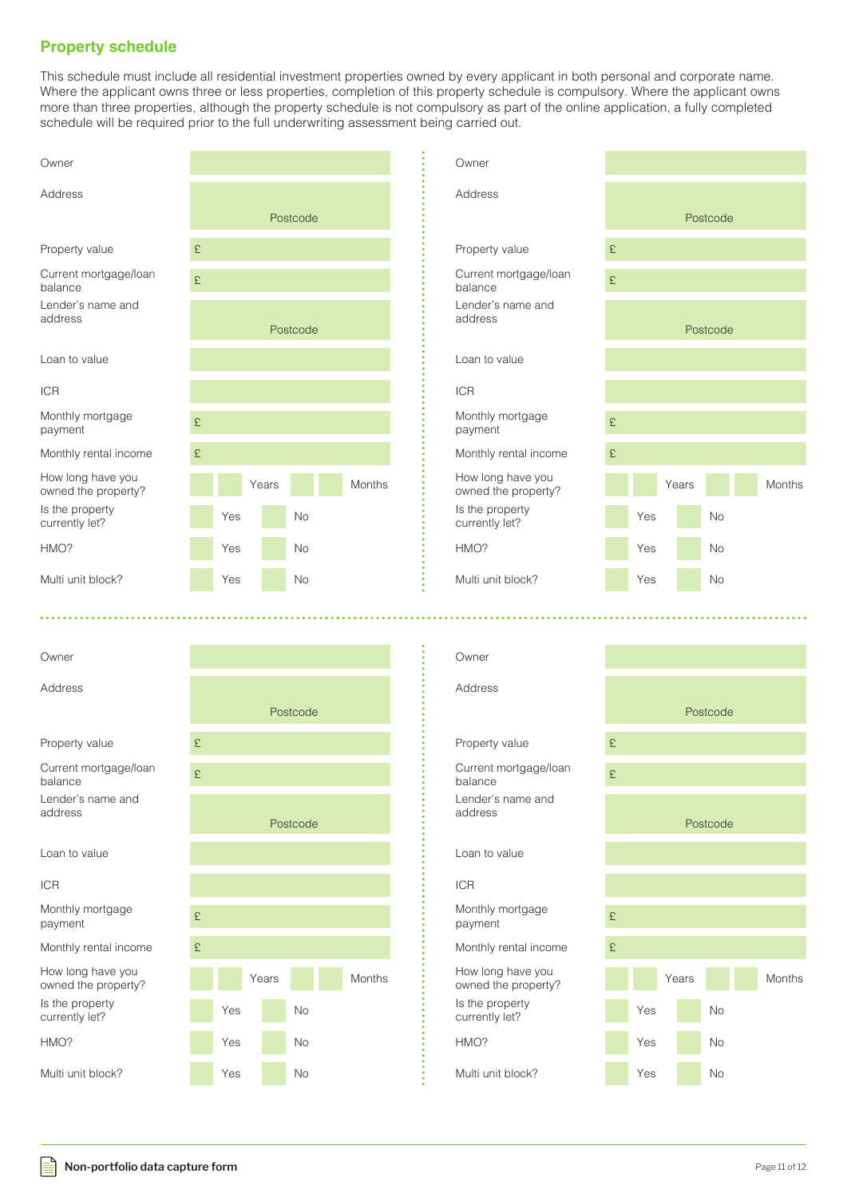# **Property schedule**

This schedule must include all residential investment properties owned by every applicant in both personal and corporate name. Where the applicant owns three or less properties, completion of this property schedule is compulsory. Where the applicant owns more than three properties, although the property schedule is not compulsory as part of the online application, a fully completed schedule will be required prior to the full underwriting assessment being carried out.

HMO?

ICR

Owner

| Owner                                    |    |     |       |           |               |  |
|------------------------------------------|----|-----|-------|-----------|---------------|--|
| Address                                  |    |     |       | Postcode  |               |  |
|                                          |    |     |       |           |               |  |
| Property value                           | £  |     |       |           |               |  |
| Current mortgage/loan<br>balance         | £. |     |       |           |               |  |
| Lender's name and<br>address             |    |     |       | Postcode  |               |  |
| Loan to value                            |    |     |       |           |               |  |
| <b>ICR</b>                               |    |     |       |           |               |  |
| Monthly mortgage<br>payment              | £. |     |       |           |               |  |
| Monthly rental income                    | £  |     |       |           |               |  |
| How long have you<br>owned the property? |    |     | Years |           | <b>Months</b> |  |
| Is the property<br>currently let?        |    | Yes |       | <b>No</b> |               |  |
| HMO?                                     |    | Yes |       | <b>No</b> |               |  |
| Multi unit block?                        |    | Yes |       | <b>No</b> |               |  |